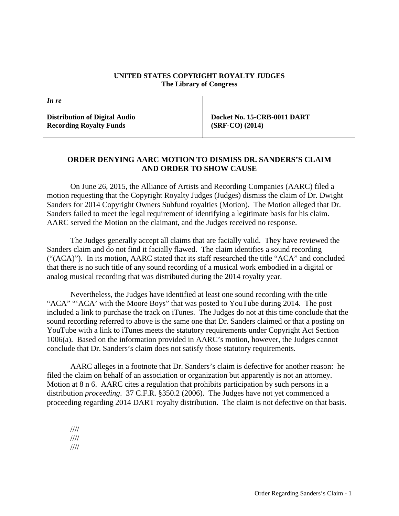## **UNITED STATES COPYRIGHT ROYALTY JUDGES The Library of Congress**

*In re*

**Distribution of Digital Audio Recording Royalty Funds**

**Docket No. 15-CRB-0011 DART (SRF-CO) (2014)**

## **ORDER DENYING AARC MOTION TO DISMISS DR. SANDERS'S CLAIM AND ORDER TO SHOW CAUSE**

On June 26, 2015, the Alliance of Artists and Recording Companies (AARC) filed a motion requesting that the Copyright Royalty Judges (Judges) dismiss the claim of Dr. Dwight Sanders for 2014 Copyright Owners Subfund royalties (Motion). The Motion alleged that Dr. Sanders failed to meet the legal requirement of identifying a legitimate basis for his claim. AARC served the Motion on the claimant, and the Judges received no response.

The Judges generally accept all claims that are facially valid. They have reviewed the Sanders claim and do not find it facially flawed. The claim identifies a sound recording ("(ACA)"). In its motion, AARC stated that its staff researched the title "ACA" and concluded that there is no such title of any sound recording of a musical work embodied in a digital or analog musical recording that was distributed during the 2014 royalty year.

Nevertheless, the Judges have identified at least one sound recording with the title "ACA" "'ACA' with the Moore Boys" that was posted to YouTube during 2014. The post included a link to purchase the track on iTunes. The Judges do not at this time conclude that the sound recording referred to above is the same one that Dr. Sanders claimed or that a posting on YouTube with a link to iTunes meets the statutory requirements under Copyright Act Section 1006(a). Based on the information provided in AARC's motion, however, the Judges cannot conclude that Dr. Sanders's claim does not satisfy those statutory requirements.

AARC alleges in a footnote that Dr. Sanders's claim is defective for another reason: he filed the claim on behalf of an association or organization but apparently is not an attorney. Motion at 8 n 6. AARC cites a regulation that prohibits participation by such persons in a distribution *proceeding*. 37 C.F.R. §350.2 (2006). The Judges have not yet commenced a proceeding regarding 2014 DART royalty distribution. The claim is not defective on that basis.

//// //// ////